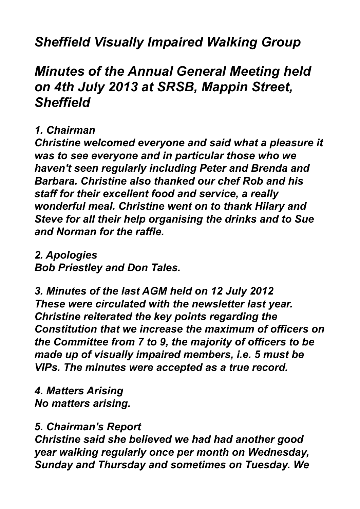# *Sheffield Visually Impaired Walking Group*

# *Minutes of the Annual General Meeting held on 4th July 2013 at SRSB, Mappin Street, Sheffield*

#### *1. Chairman*

*Christine welcomed everyone and said what a pleasure it was to see everyone and in particular those who we haven't seen regularly including Peter and Brenda and Barbara. Christine also thanked our chef Rob and his staff for their excellent food and service, a really wonderful meal. Christine went on to thank Hilary and Steve for all their help organising the drinks and to Sue and Norman for the raffle.*

*2. Apologies Bob Priestley and Don Tales.*

*3. Minutes of the last AGM held on 12 July 2012 These were circulated with the newsletter last year. Christine reiterated the key points regarding the Constitution that we increase the maximum of officers on the Committee from 7 to 9, the majority of officers to be made up of visually impaired members, i.e. 5 must be VIPs. The minutes were accepted as a true record.*

*4. Matters Arising No matters arising.*

### *5. Chairman's Report*

*Christine said she believed we had had another good year walking regularly once per month on Wednesday, Sunday and Thursday and sometimes on Tuesday. We*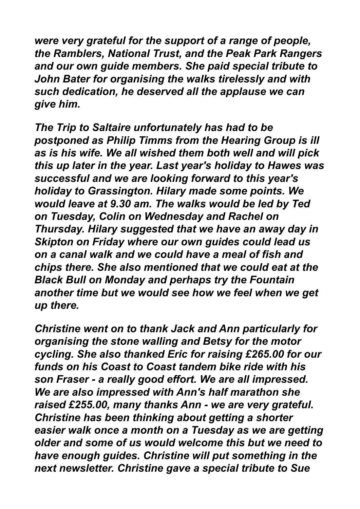*were very grateful for the support of a range of people, the Ramblers, National Trust, and the Peak Park Rangers and our own guide members. She paid special tribute to John Bater for organising the walks tirelessly and with such dedication, he deserved all the applause we can give him.*

*The Trip to Saltaire unfortunately has had to be postponed as Philip Timms from the Hearing Group is ill as is his wife. We all wished them both well and will pick this up later in the year. Last year's holiday to Hawes was successful and we are looking forward to this year's holiday to Grassington. Hilary made some points. We would leave at 9.30 am. The walks would be led by Ted on Tuesday, Colin on Wednesday and Rachel on Thursday. Hilary suggested that we have an away day in Skipton on Friday where our own guides could lead us on a canal walk and we could have a meal of fish and chips there. She also mentioned that we could eat at the Black Bull on Monday and perhaps try the Fountain another time but we would see how we feel when we get up there.*

*Christine went on to thank Jack and Ann particularly for organising the stone walling and Betsy for the motor cycling. She also thanked Eric for raising £265.00 for our funds on his Coast to Coast tandem bike ride with his son Fraser - a really good effort. We are all impressed. We are also impressed with Ann's half marathon she raised £255.00, many thanks Ann - we are very grateful. Christine has been thinking about getting a shorter easier walk once a month on a Tuesday as we are getting older and some of us would welcome this but we need to have enough guides. Christine will put something in the next newsletter. Christine gave a special tribute to Sue*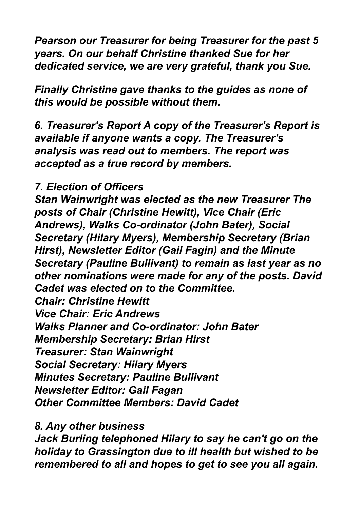*Pearson our Treasurer for being Treasurer for the past 5 years. On our behalf Christine thanked Sue for her dedicated service, we are very grateful, thank you Sue.*

*Finally Christine gave thanks to the guides as none of this would be possible without them.*

*6. Treasurer's Report A copy of the Treasurer's Report is available if anyone wants a copy. The Treasurer's analysis was read out to members. The report was accepted as a true record by members.*

### *7. Election of Officers*

*Stan Wainwright was elected as the new Treasurer The posts of Chair (Christine Hewitt), Vice Chair (Eric Andrews), Walks Co-ordinator (John Bater), Social Secretary (Hilary Myers), Membership Secretary (Brian Hirst), Newsletter Editor (Gail Fagin) and the Minute Secretary (Pauline Bullivant) to remain as last year as no other nominations were made for any of the posts. David Cadet was elected on to the Committee. Chair: Christine Hewitt Vice Chair: Eric Andrews Walks Planner and Co-ordinator: John Bater Membership Secretary: Brian Hirst Treasurer: Stan Wainwright Social Secretary: Hilary Myers Minutes Secretary: Pauline Bullivant Newsletter Editor: Gail Fagan Other Committee Members: David Cadet*

*8. Any other business* 

*Jack Burling telephoned Hilary to say he can't go on the holiday to Grassington due to ill health but wished to be remembered to all and hopes to get to see you all again.*